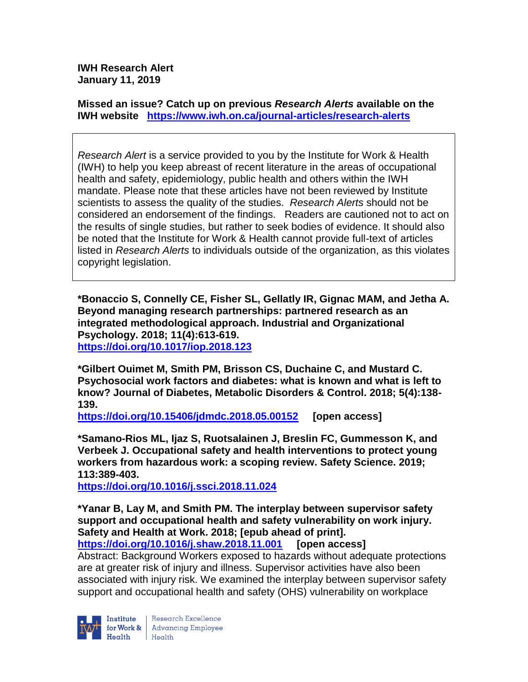**IWH Research Alert January 11, 2019**

**Missed an issue? Catch up on previous** *Research Alerts* **available on the [IWH website](http://www.iwh.on.ca/research-alerts) <https://www.iwh.on.ca/journal-articles/research-alerts>**

*Research Alert* is a service provided to you by the Institute for Work & Health (IWH) to help you keep abreast of recent literature in the areas of occupational health and safety, epidemiology, public health and others within the IWH mandate. Please note that these articles have not been reviewed by Institute scientists to assess the quality of the studies. *Research Alerts* should not be considered an endorsement of the findings. Readers are cautioned not to act on the results of single studies, but rather to seek bodies of evidence. It should also be noted that the Institute for Work & Health cannot provide full-text of articles listed in *Research Alerts* to individuals outside of the organization, as this violates copyright legislation.

**\*Bonaccio S, Connelly CE, Fisher SL, Gellatly IR, Gignac MAM, and Jetha A. Beyond managing research partnerships: partnered research as an integrated methodological approach. Industrial and Organizational Psychology. 2018; 11(4):613-619. <https://doi.org/10.1017/iop.2018.123>** 

**\*Gilbert Ouimet M, Smith PM, Brisson CS, Duchaine C, and Mustard C. Psychosocial work factors and diabetes: what is known and what is left to know? Journal of Diabetes, Metabolic Disorders & Control. 2018; 5(4):138- 139.** 

**<https://doi.org/10.15406/jdmdc.2018.05.00152> [open access]**

**\*Samano-Rios ML, Ijaz S, Ruotsalainen J, Breslin FC, Gummesson K, and Verbeek J. Occupational safety and health interventions to protect young workers from hazardous work: a scoping review. Safety Science. 2019; 113:389-403.** 

**<https://doi.org/10.1016/j.ssci.2018.11.024>** 

**\*Yanar B, Lay M, and Smith PM. The interplay between supervisor safety support and occupational health and safety vulnerability on work injury. Safety and Health at Work. 2018; [epub ahead of print]. <https://doi.org/10.1016/j.shaw.2018.11.001> [open access]**

Abstract: Background Workers exposed to hazards without adequate protections are at greater risk of injury and illness. Supervisor activities have also been associated with injury risk. We examined the interplay between supervisor safety support and occupational health and safety (OHS) vulnerability on workplace



Research Excellence for Work & | Advancing Employee  $H_{\text{eath}}$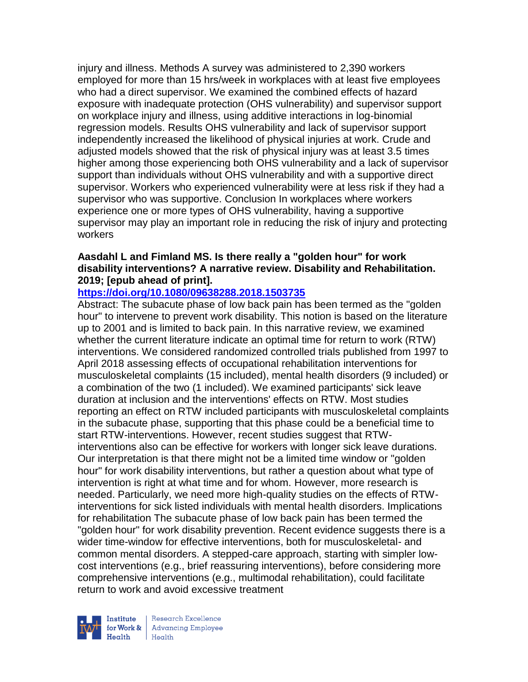injury and illness. Methods A survey was administered to 2,390 workers employed for more than 15 hrs/week in workplaces with at least five employees who had a direct supervisor. We examined the combined effects of hazard exposure with inadequate protection (OHS vulnerability) and supervisor support on workplace injury and illness, using additive interactions in log-binomial regression models. Results OHS vulnerability and lack of supervisor support independently increased the likelihood of physical injuries at work. Crude and adjusted models showed that the risk of physical injury was at least 3.5 times higher among those experiencing both OHS vulnerability and a lack of supervisor support than individuals without OHS vulnerability and with a supportive direct supervisor. Workers who experienced vulnerability were at less risk if they had a supervisor who was supportive. Conclusion In workplaces where workers experience one or more types of OHS vulnerability, having a supportive supervisor may play an important role in reducing the risk of injury and protecting workers

# **Aasdahl L and Fimland MS. Is there really a "golden hour" for work disability interventions? A narrative review. Disability and Rehabilitation. 2019; [epub ahead of print].**

# **<https://doi.org/10.1080/09638288.2018.1503735>**

Abstract: The subacute phase of low back pain has been termed as the "golden hour" to intervene to prevent work disability. This notion is based on the literature up to 2001 and is limited to back pain. In this narrative review, we examined whether the current literature indicate an optimal time for return to work (RTW) interventions. We considered randomized controlled trials published from 1997 to April 2018 assessing effects of occupational rehabilitation interventions for musculoskeletal complaints (15 included), mental health disorders (9 included) or a combination of the two (1 included). We examined participants' sick leave duration at inclusion and the interventions' effects on RTW. Most studies reporting an effect on RTW included participants with musculoskeletal complaints in the subacute phase, supporting that this phase could be a beneficial time to start RTW-interventions. However, recent studies suggest that RTWinterventions also can be effective for workers with longer sick leave durations. Our interpretation is that there might not be a limited time window or "golden hour" for work disability interventions, but rather a question about what type of intervention is right at what time and for whom. However, more research is needed. Particularly, we need more high-quality studies on the effects of RTWinterventions for sick listed individuals with mental health disorders. Implications for rehabilitation The subacute phase of low back pain has been termed the "golden hour" for work disability prevention. Recent evidence suggests there is a wider time-window for effective interventions, both for musculoskeletal- and common mental disorders. A stepped-care approach, starting with simpler lowcost interventions (e.g., brief reassuring interventions), before considering more comprehensive interventions (e.g., multimodal rehabilitation), could facilitate return to work and avoid excessive treatment



Research Excellence for Work & Advancing Employee<br>Health Health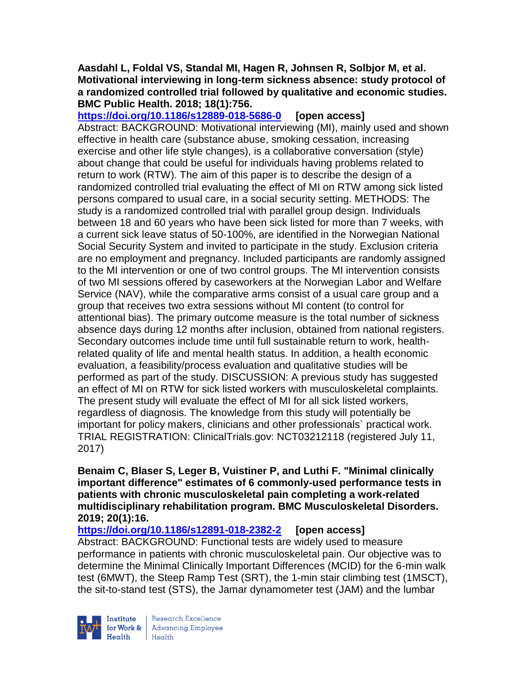#### **Aasdahl L, Foldal VS, Standal MI, Hagen R, Johnsen R, Solbjor M, et al. Motivational interviewing in long-term sickness absence: study protocol of a randomized controlled trial followed by qualitative and economic studies. BMC Public Health. 2018; 18(1):756.**

**<https://doi.org/10.1186/s12889-018-5686-0> [open access]** Abstract: BACKGROUND: Motivational interviewing (MI), mainly used and shown effective in health care (substance abuse, smoking cessation, increasing exercise and other life style changes), is a collaborative conversation (style) about change that could be useful for individuals having problems related to return to work (RTW). The aim of this paper is to describe the design of a randomized controlled trial evaluating the effect of MI on RTW among sick listed persons compared to usual care, in a social security setting. METHODS: The study is a randomized controlled trial with parallel group design. Individuals between 18 and 60 years who have been sick listed for more than 7 weeks, with a current sick leave status of 50-100%, are identified in the Norwegian National Social Security System and invited to participate in the study. Exclusion criteria are no employment and pregnancy. Included participants are randomly assigned to the MI intervention or one of two control groups. The MI intervention consists of two MI sessions offered by caseworkers at the Norwegian Labor and Welfare Service (NAV), while the comparative arms consist of a usual care group and a group that receives two extra sessions without MI content (to control for attentional bias). The primary outcome measure is the total number of sickness absence days during 12 months after inclusion, obtained from national registers. Secondary outcomes include time until full sustainable return to work, healthrelated quality of life and mental health status. In addition, a health economic evaluation, a feasibility/process evaluation and qualitative studies will be performed as part of the study. DISCUSSION: A previous study has suggested an effect of MI on RTW for sick listed workers with musculoskeletal complaints. The present study will evaluate the effect of MI for all sick listed workers, regardless of diagnosis. The knowledge from this study will potentially be important for policy makers, clinicians and other professionals` practical work. TRIAL REGISTRATION: ClinicalTrials.gov: NCT03212118 (registered July 11, 2017)

#### **Benaim C, Blaser S, Leger B, Vuistiner P, and Luthi F. "Minimal clinically important difference" estimates of 6 commonly-used performance tests in patients with chronic musculoskeletal pain completing a work-related multidisciplinary rehabilitation program. BMC Musculoskeletal Disorders. 2019; 20(1):16.**

**<https://doi.org/10.1186/s12891-018-2382-2> [open access]** Abstract: BACKGROUND: Functional tests are widely used to measure performance in patients with chronic musculoskeletal pain. Our objective was to determine the Minimal Clinically Important Differences (MCID) for the 6-min walk test (6MWT), the Steep Ramp Test (SRT), the 1-min stair climbing test (1MSCT), the sit-to-stand test (STS), the Jamar dynamometer test (JAM) and the lumbar



Research Excellence for Work & | Advancing Employee Health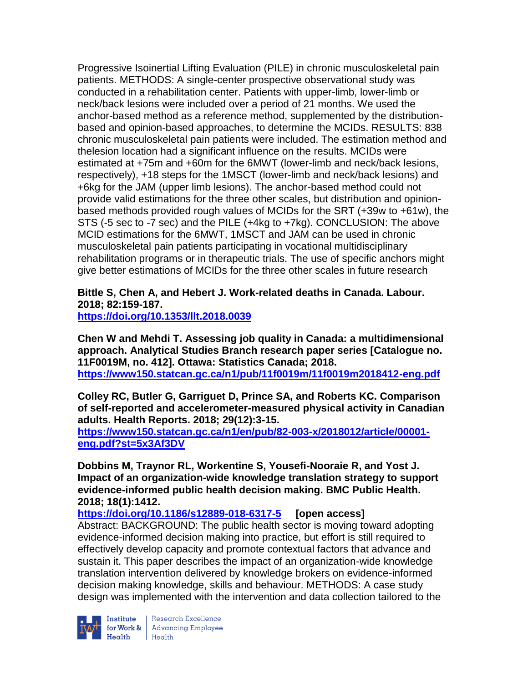Progressive Isoinertial Lifting Evaluation (PILE) in chronic musculoskeletal pain patients. METHODS: A single-center prospective observational study was conducted in a rehabilitation center. Patients with upper-limb, lower-limb or neck/back lesions were included over a period of 21 months. We used the anchor-based method as a reference method, supplemented by the distributionbased and opinion-based approaches, to determine the MCIDs. RESULTS: 838 chronic musculoskeletal pain patients were included. The estimation method and thelesion location had a significant influence on the results. MCIDs were estimated at +75m and +60m for the 6MWT (lower-limb and neck/back lesions, respectively), +18 steps for the 1MSCT (lower-limb and neck/back lesions) and +6kg for the JAM (upper limb lesions). The anchor-based method could not provide valid estimations for the three other scales, but distribution and opinionbased methods provided rough values of MCIDs for the SRT (+39w to +61w), the STS (-5 sec to -7 sec) and the PILE (+4kg to +7kg). CONCLUSION: The above MCID estimations for the 6MWT, 1MSCT and JAM can be used in chronic musculoskeletal pain patients participating in vocational multidisciplinary rehabilitation programs or in therapeutic trials. The use of specific anchors might give better estimations of MCIDs for the three other scales in future research

# **Bittle S, Chen A, and Hebert J. Work-related deaths in Canada. Labour. 2018; 82:159-187.**

**<https://doi.org/10.1353/llt.2018.0039>** 

**Chen W and Mehdi T. Assessing job quality in Canada: a multidimensional approach. Analytical Studies Branch research paper series [Catalogue no. 11F0019M, no. 412]. Ottawa: Statistics Canada; 2018. <https://www150.statcan.gc.ca/n1/pub/11f0019m/11f0019m2018412-eng.pdf>**

**Colley RC, Butler G, Garriguet D, Prince SA, and Roberts KC. Comparison of self-reported and accelerometer-measured physical activity in Canadian adults. Health Reports. 2018; 29(12):3-15.** 

**[https://www150.statcan.gc.ca/n1/en/pub/82-003-x/2018012/article/00001](https://www150.statcan.gc.ca/n1/en/pub/82-003-x/2018012/article/00001-eng.pdf?st=5x3Af3DV) [eng.pdf?st=5x3Af3DV](https://www150.statcan.gc.ca/n1/en/pub/82-003-x/2018012/article/00001-eng.pdf?st=5x3Af3DV)**

**Dobbins M, Traynor RL, Workentine S, Yousefi-Nooraie R, and Yost J. Impact of an organization-wide knowledge translation strategy to support evidence-informed public health decision making. BMC Public Health. 2018; 18(1):1412.**

**<https://doi.org/10.1186/s12889-018-6317-5> [open access]**

Abstract: BACKGROUND: The public health sector is moving toward adopting evidence-informed decision making into practice, but effort is still required to effectively develop capacity and promote contextual factors that advance and sustain it. This paper describes the impact of an organization-wide knowledge translation intervention delivered by knowledge brokers on evidence-informed decision making knowledge, skills and behaviour. METHODS: A case study design was implemented with the intervention and data collection tailored to the



Institute Research Excellence<br>for Work & Advancing Employee<br>Health Health  $Heath$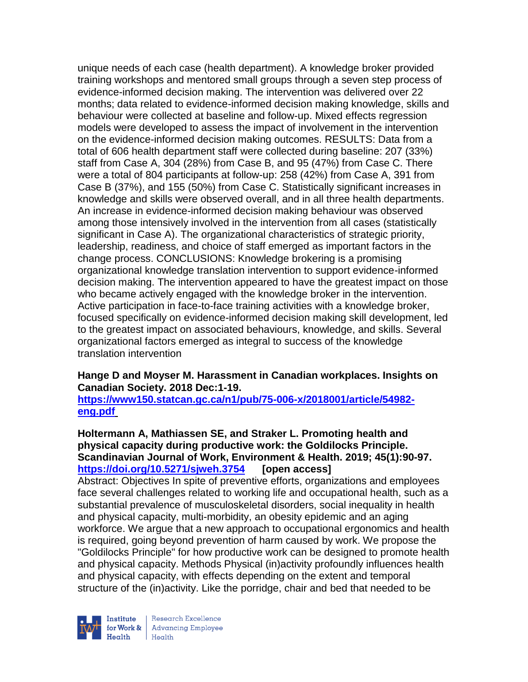unique needs of each case (health department). A knowledge broker provided training workshops and mentored small groups through a seven step process of evidence-informed decision making. The intervention was delivered over 22 months; data related to evidence-informed decision making knowledge, skills and behaviour were collected at baseline and follow-up. Mixed effects regression models were developed to assess the impact of involvement in the intervention on the evidence-informed decision making outcomes. RESULTS: Data from a total of 606 health department staff were collected during baseline: 207 (33%) staff from Case A, 304 (28%) from Case B, and 95 (47%) from Case C. There were a total of 804 participants at follow-up: 258 (42%) from Case A, 391 from Case B (37%), and 155 (50%) from Case C. Statistically significant increases in knowledge and skills were observed overall, and in all three health departments. An increase in evidence-informed decision making behaviour was observed among those intensively involved in the intervention from all cases (statistically significant in Case A). The organizational characteristics of strategic priority, leadership, readiness, and choice of staff emerged as important factors in the change process. CONCLUSIONS: Knowledge brokering is a promising organizational knowledge translation intervention to support evidence-informed decision making. The intervention appeared to have the greatest impact on those who became actively engaged with the knowledge broker in the intervention. Active participation in face-to-face training activities with a knowledge broker, focused specifically on evidence-informed decision making skill development, led to the greatest impact on associated behaviours, knowledge, and skills. Several organizational factors emerged as integral to success of the knowledge translation intervention

#### **Hange D and Moyser M. Harassment in Canadian workplaces. Insights on Canadian Society. 2018 Dec:1-19.**

**[https://www150.statcan.gc.ca/n1/pub/75-006-x/2018001/article/54982](https://www150.statcan.gc.ca/n1/pub/75-006-x/2018001/article/54982-eng.pdf) [eng.pdf](https://www150.statcan.gc.ca/n1/pub/75-006-x/2018001/article/54982-eng.pdf)**

#### **Holtermann A, Mathiassen SE, and Straker L. Promoting health and physical capacity during productive work: the Goldilocks Principle. Scandinavian Journal of Work, Environment & Health. 2019; 45(1):90-97. <https://doi.org/10.5271/sjweh.3754> [open access]**

Abstract: Objectives In spite of preventive efforts, organizations and employees face several challenges related to working life and occupational health, such as a substantial prevalence of musculoskeletal disorders, social inequality in health and physical capacity, multi-morbidity, an obesity epidemic and an aging workforce. We argue that a new approach to occupational ergonomics and health is required, going beyond prevention of harm caused by work. We propose the "Goldilocks Principle" for how productive work can be designed to promote health and physical capacity. Methods Physical (in)activity profoundly influences health and physical capacity, with effects depending on the extent and temporal structure of the (in)activity. Like the porridge, chair and bed that needed to be



Research Excellence for Work & | Advancing Employee Health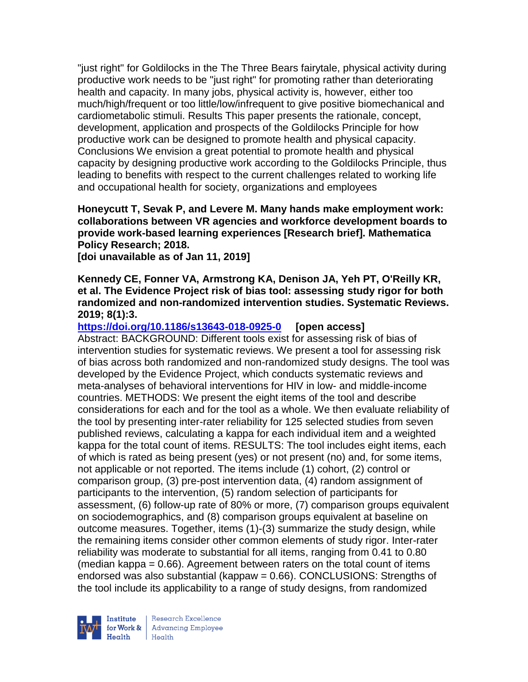"just right" for Goldilocks in the The Three Bears fairytale, physical activity during productive work needs to be "just right" for promoting rather than deteriorating health and capacity. In many jobs, physical activity is, however, either too much/high/frequent or too little/low/infrequent to give positive biomechanical and cardiometabolic stimuli. Results This paper presents the rationale, concept, development, application and prospects of the Goldilocks Principle for how productive work can be designed to promote health and physical capacity. Conclusions We envision a great potential to promote health and physical capacity by designing productive work according to the Goldilocks Principle, thus leading to benefits with respect to the current challenges related to working life and occupational health for society, organizations and employees

**Honeycutt T, Sevak P, and Levere M. Many hands make employment work: collaborations between VR agencies and workforce development boards to provide work-based learning experiences [Research brief]. Mathematica Policy Research; 2018.** 

**[doi unavailable as of Jan 11, 2019]** 

#### **Kennedy CE, Fonner VA, Armstrong KA, Denison JA, Yeh PT, O'Reilly KR, et al. The Evidence Project risk of bias tool: assessing study rigor for both randomized and non-randomized intervention studies. Systematic Reviews. 2019; 8(1):3.**

**<https://doi.org/10.1186/s13643-018-0925-0> [open access]** Abstract: BACKGROUND: Different tools exist for assessing risk of bias of intervention studies for systematic reviews. We present a tool for assessing risk of bias across both randomized and non-randomized study designs. The tool was developed by the Evidence Project, which conducts systematic reviews and meta-analyses of behavioral interventions for HIV in low- and middle-income countries. METHODS: We present the eight items of the tool and describe considerations for each and for the tool as a whole. We then evaluate reliability of the tool by presenting inter-rater reliability for 125 selected studies from seven published reviews, calculating a kappa for each individual item and a weighted kappa for the total count of items. RESULTS: The tool includes eight items, each of which is rated as being present (yes) or not present (no) and, for some items, not applicable or not reported. The items include (1) cohort, (2) control or comparison group, (3) pre-post intervention data, (4) random assignment of participants to the intervention, (5) random selection of participants for assessment, (6) follow-up rate of 80% or more, (7) comparison groups equivalent on sociodemographics, and (8) comparison groups equivalent at baseline on outcome measures. Together, items (1)-(3) summarize the study design, while the remaining items consider other common elements of study rigor. Inter-rater reliability was moderate to substantial for all items, ranging from 0.41 to 0.80 (median kappa  $= 0.66$ ). Agreement between raters on the total count of items endorsed was also substantial (kappaw = 0.66). CONCLUSIONS: Strengths of the tool include its applicability to a range of study designs, from randomized

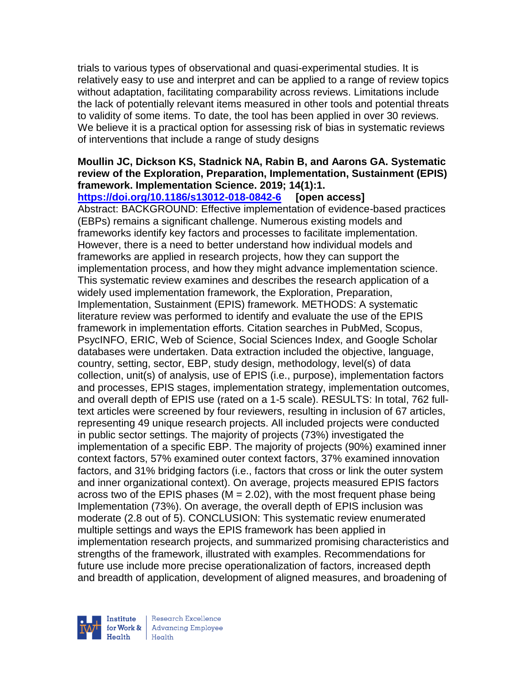trials to various types of observational and quasi-experimental studies. It is relatively easy to use and interpret and can be applied to a range of review topics without adaptation, facilitating comparability across reviews. Limitations include the lack of potentially relevant items measured in other tools and potential threats to validity of some items. To date, the tool has been applied in over 30 reviews. We believe it is a practical option for assessing risk of bias in systematic reviews of interventions that include a range of study designs

#### **Moullin JC, Dickson KS, Stadnick NA, Rabin B, and Aarons GA. Systematic review of the Exploration, Preparation, Implementation, Sustainment (EPIS) framework. Implementation Science. 2019; 14(1):1.**

**<https://doi.org/10.1186/s13012-018-0842-6> [open access]** Abstract: BACKGROUND: Effective implementation of evidence-based practices (EBPs) remains a significant challenge. Numerous existing models and frameworks identify key factors and processes to facilitate implementation. However, there is a need to better understand how individual models and frameworks are applied in research projects, how they can support the implementation process, and how they might advance implementation science. This systematic review examines and describes the research application of a widely used implementation framework, the Exploration, Preparation, Implementation, Sustainment (EPIS) framework. METHODS: A systematic literature review was performed to identify and evaluate the use of the EPIS framework in implementation efforts. Citation searches in PubMed, Scopus, PsycINFO, ERIC, Web of Science, Social Sciences Index, and Google Scholar databases were undertaken. Data extraction included the objective, language, country, setting, sector, EBP, study design, methodology, level(s) of data collection, unit(s) of analysis, use of EPIS (i.e., purpose), implementation factors and processes, EPIS stages, implementation strategy, implementation outcomes, and overall depth of EPIS use (rated on a 1-5 scale). RESULTS: In total, 762 fulltext articles were screened by four reviewers, resulting in inclusion of 67 articles, representing 49 unique research projects. All included projects were conducted in public sector settings. The majority of projects (73%) investigated the implementation of a specific EBP. The majority of projects (90%) examined inner context factors, 57% examined outer context factors, 37% examined innovation factors, and 31% bridging factors (i.e., factors that cross or link the outer system and inner organizational context). On average, projects measured EPIS factors across two of the EPIS phases ( $M = 2.02$ ), with the most frequent phase being Implementation (73%). On average, the overall depth of EPIS inclusion was moderate (2.8 out of 5). CONCLUSION: This systematic review enumerated multiple settings and ways the EPIS framework has been applied in implementation research projects, and summarized promising characteristics and strengths of the framework, illustrated with examples. Recommendations for future use include more precise operationalization of factors, increased depth and breadth of application, development of aligned measures, and broadening of

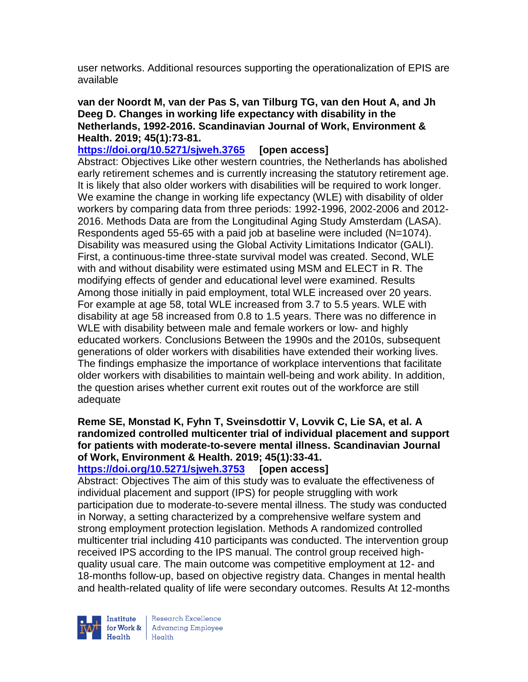user networks. Additional resources supporting the operationalization of EPIS are available

#### **van der Noordt M, van der Pas S, van Tilburg TG, van den Hout A, and Jh Deeg D. Changes in working life expectancy with disability in the Netherlands, 1992-2016. Scandinavian Journal of Work, Environment & Health. 2019; 45(1):73-81.**

## **<https://doi.org/10.5271/sjweh.3765> [open access]**

Abstract: Objectives Like other western countries, the Netherlands has abolished early retirement schemes and is currently increasing the statutory retirement age. It is likely that also older workers with disabilities will be required to work longer. We examine the change in working life expectancy (WLE) with disability of older workers by comparing data from three periods: 1992-1996, 2002-2006 and 2012- 2016. Methods Data are from the Longitudinal Aging Study Amsterdam (LASA). Respondents aged 55-65 with a paid job at baseline were included (N=1074). Disability was measured using the Global Activity Limitations Indicator (GALI). First, a continuous-time three-state survival model was created. Second, WLE with and without disability were estimated using MSM and ELECT in R. The modifying effects of gender and educational level were examined. Results Among those initially in paid employment, total WLE increased over 20 years. For example at age 58, total WLE increased from 3.7 to 5.5 years. WLE with disability at age 58 increased from 0.8 to 1.5 years. There was no difference in WLE with disability between male and female workers or low- and highly educated workers. Conclusions Between the 1990s and the 2010s, subsequent generations of older workers with disabilities have extended their working lives. The findings emphasize the importance of workplace interventions that facilitate older workers with disabilities to maintain well-being and work ability. In addition, the question arises whether current exit routes out of the workforce are still adequate

## **Reme SE, Monstad K, Fyhn T, Sveinsdottir V, Lovvik C, Lie SA, et al. A randomized controlled multicenter trial of individual placement and support for patients with moderate-to-severe mental illness. Scandinavian Journal of Work, Environment & Health. 2019; 45(1):33-41.**

**<https://doi.org/10.5271/sjweh.3753> [open access]** Abstract: Objectives The aim of this study was to evaluate the effectiveness of individual placement and support (IPS) for people struggling with work participation due to moderate-to-severe mental illness. The study was conducted in Norway, a setting characterized by a comprehensive welfare system and strong employment protection legislation. Methods A randomized controlled multicenter trial including 410 participants was conducted. The intervention group received IPS according to the IPS manual. The control group received highquality usual care. The main outcome was competitive employment at 12- and 18-months follow-up, based on objective registry data. Changes in mental health and health-related quality of life were secondary outcomes. Results At 12-months



Research Excellence for Work & | Advancing Employee  $Heath$